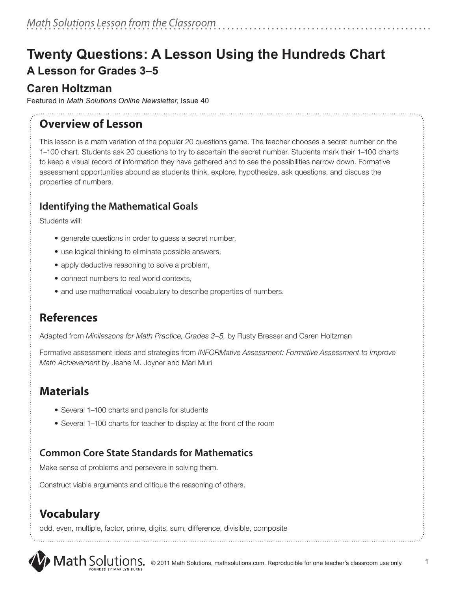# **Twenty Questions: A Lesson Using the Hundreds Chart A Lesson for Grades 3–5**

## **Caren Holtzman**

Featured in *Math Solutions Online Newsletter,* Issue 40

## **Overview of Lesson**

This lesson is a math variation of the popular 20 questions game. The teacher chooses a secret number on the 1–100 chart. Students ask 20 questions to try to ascertain the secret number. Students mark their 1–100 charts to keep a visual record of information they have gathered and to see the possibilities narrow down. Formative assessment opportunities abound as students think, explore, hypothesize, ask questions, and discuss the properties of numbers.

## **Identifying the Mathematical Goals**

Students will:

- generate questions in order to guess a secret number,
- use logical thinking to eliminate possible answers,
- apply deductive reasoning to solve a problem,
- connect numbers to real world contexts,
- and use mathematical vocabulary to describe properties of numbers.

# **References**

Adapted from *Minilessons for Math Practice, Grades 3–5,* by Rusty Bresser and Caren Holtzman

Formative assessment ideas and strategies from *INFORMative Assessment: Formative Assessment to Improve Math Achievement* by Jeane M. Joyner and Mari Muri

# **Materials**

- Several 1-100 charts and pencils for students
- Several 1–100 charts for teacher to display at the front of the room

# **Common Core State Standards for Mathematics**

Make sense of problems and persevere in solving them.

Construct viable arguments and critique the reasoning of others.

# **Vocabulary**

odd, even, multiple, factor, prime, digits, sum, difference, divisible, composite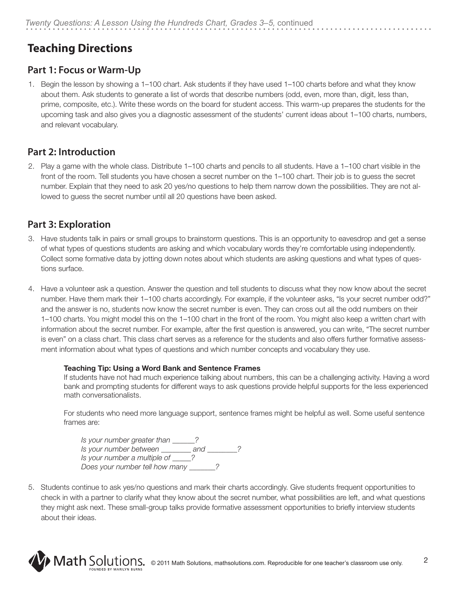# **Teaching Directions**

## **Part 1: Focus or Warm-Up**

1. Begin the lesson by showing a 1–100 chart. Ask students if they have used 1–100 charts before and what they know about them. Ask students to generate a list of words that describe numbers (odd, even, more than, digit, less than, prime, composite, etc.). Write these words on the board for student access. This warm-up prepares the students for the upcoming task and also gives you a diagnostic assessment of the students' current ideas about 1–100 charts, numbers, and relevant vocabulary.

### **Part 2: Introduction**

2. Play a game with the whole class. Distribute 1–100 charts and pencils to all students. Have a 1–100 chart visible in the front of the room. Tell students you have chosen a secret number on the 1–100 chart. Their job is to guess the secret number. Explain that they need to ask 20 yes/no questions to help them narrow down the possibilities. They are not allowed to guess the secret number until all 20 questions have been asked.

## **Part 3: Exploration**

- 3. Have students talk in pairs or small groups to brainstorm questions. This is an opportunity to eavesdrop and get a sense of what types of questions students are asking and which vocabulary words they're comfortable using independently. Collect some formative data by jotting down notes about which students are asking questions and what types of questions surface.
- 4. Have a volunteer ask a question. Answer the question and tell students to discuss what they now know about the secret number. Have them mark their 1–100 charts accordingly. For example, if the volunteer asks, "Is your secret number odd?" and the answer is no, students now know the secret number is even. They can cross out all the odd numbers on their 1–100 charts. You might model this on the 1–100 chart in the front of the room. You might also keep a written chart with information about the secret number. For example, after the first question is answered, you can write, "The secret number is even" on a class chart. This class chart serves as a reference for the students and also offers further formative assessment information about what types of questions and which number concepts and vocabulary they use.

#### **Teaching Tip: Using a Word Bank and Sentence Frames**

If students have not had much experience talking about numbers, this can be a challenging activity. Having a word bank and prompting students for different ways to ask questions provide helpful supports for the less experienced math conversationalists.

For students who need more language support, sentence frames might be helpful as well. Some useful sentence frames are:

*Is your number greater than \_\_\_\_\_\_? Is your number between \_\_\_\_\_\_\_\_ and \_\_\_\_\_\_\_\_? Is your number a multiple of \_\_\_\_\_? Does your number tell how many \_\_\_\_\_\_\_?*

5. Students continue to ask yes/no questions and mark their charts accordingly. Give students frequent opportunities to check in with a partner to clarify what they know about the secret number, what possibilities are left, and what questions they might ask next. These small-group talks provide formative assessment opportunities to briefly interview students about their ideas.